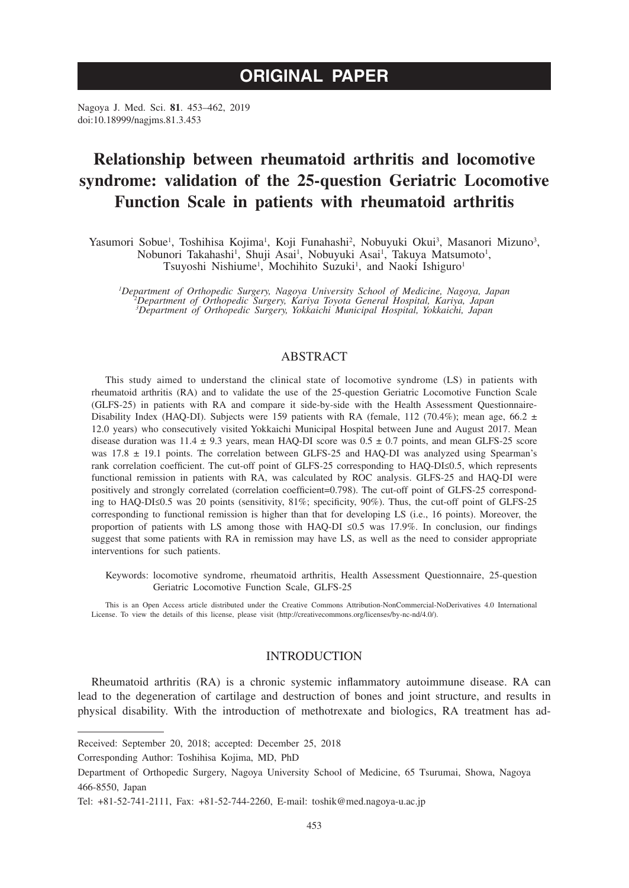# **ORIGINAL PAPER**

Nagoya J. Med. Sci. **81**. 453–462, 2019 doi:10.18999/nagjms.81.3.453

# **Relationship between rheumatoid arthritis and locomotive syndrome: validation of the 25-question Geriatric Locomotive Function Scale in patients with rheumatoid arthritis**

Yasumori Sobue<sup>1</sup>, Toshihisa Kojima<sup>1</sup>, Koji Funahashi<sup>2</sup>, Nobuyuki Okui<sup>3</sup>, Masanori Mizuno<sup>3</sup>, Nobunori Takahashi<sup>1</sup>, Shuji Asai<sup>1</sup>, Nobuyuki Asai<sup>1</sup>, Takuya Matsumoto<sup>1</sup>, Tsuyoshi Nishiume<sup>1</sup>, Mochihito Suzuki<sup>1</sup>, and Naoki Ishiguro<sup>1</sup>

*1 Department of Orthopedic Surgery, Nagoya University School of Medicine, Nagoya, Japan <sup>2</sup> Department of Orthopedic Surgery, Kariya Toyota General Hospital, Kariya, Japan 3 Department of Orthopedic Surgery, Yokkaichi Municipal Hospital, Yokkaichi, Japan*

## ABSTRACT

This study aimed to understand the clinical state of locomotive syndrome (LS) in patients with rheumatoid arthritis (RA) and to validate the use of the 25-question Geriatric Locomotive Function Scale (GLFS-25) in patients with RA and compare it side-by-side with the Health Assessment Questionnaire-Disability Index (HAQ-DI). Subjects were 159 patients with RA (female, 112 (70.4%); mean age, 66.2  $\pm$ 12.0 years) who consecutively visited Yokkaichi Municipal Hospital between June and August 2017. Mean disease duration was  $11.4 \pm 9.3$  years, mean HAQ-DI score was  $0.5 \pm 0.7$  points, and mean GLFS-25 score was  $17.8 \pm 19.1$  points. The correlation between GLFS-25 and HAQ-DI was analyzed using Spearman's rank correlation coefficient. The cut-off point of GLFS-25 corresponding to HAQ-DI≤0.5, which represents functional remission in patients with RA, was calculated by ROC analysis. GLFS-25 and HAQ-DI were positively and strongly correlated (correlation coefficient=0.798). The cut-off point of GLFS-25 corresponding to HAQ-DI≤0.5 was 20 points (sensitivity, 81%; specificity, 90%). Thus, the cut-off point of GLFS-25 corresponding to functional remission is higher than that for developing LS (i.e., 16 points). Moreover, the proportion of patients with LS among those with HAQ-DI ≤0.5 was 17.9%. In conclusion, our findings suggest that some patients with RA in remission may have LS, as well as the need to consider appropriate interventions for such patients.

Keywords: locomotive syndrome, rheumatoid arthritis, Health Assessment Questionnaire, 25-question Geriatric Locomotive Function Scale, GLFS-25

This is an Open Access article distributed under the Creative Commons Attribution-NonCommercial-NoDerivatives 4.0 International License. To view the details of this license, please visit (http://creativecommons.org/licenses/by-nc-nd/4.0/).

## INTRODUCTION

Rheumatoid arthritis (RA) is a chronic systemic inflammatory autoimmune disease. RA can lead to the degeneration of cartilage and destruction of bones and joint structure, and results in physical disability. With the introduction of methotrexate and biologics, RA treatment has ad-

Corresponding Author: Toshihisa Kojima, MD, PhD

Received: September 20, 2018; accepted: December 25, 2018

Department of Orthopedic Surgery, Nagoya University School of Medicine, 65 Tsurumai, Showa, Nagoya 466-8550, Japan

Tel: +81-52-741-2111, Fax: +81-52-744-2260, E-mail: toshik@med.nagoya-u.ac.jp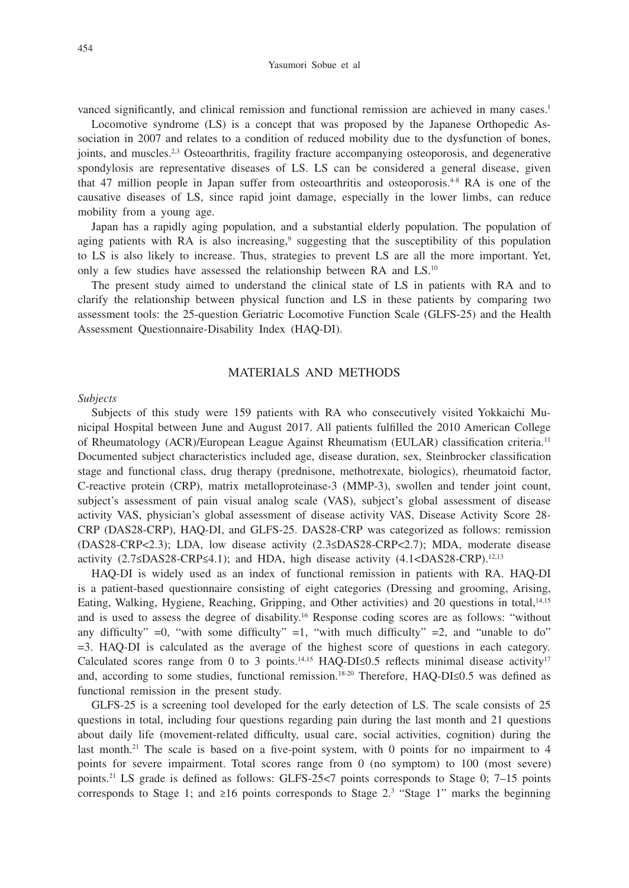vanced significantly, and clinical remission and functional remission are achieved in many cases.<sup>1</sup>

Locomotive syndrome (LS) is a concept that was proposed by the Japanese Orthopedic Association in 2007 and relates to a condition of reduced mobility due to the dysfunction of bones, joints, and muscles.<sup>2,3</sup> Osteoarthritis, fragility fracture accompanying osteoporosis, and degenerative spondylosis are representative diseases of LS. LS can be considered a general disease, given that 47 million people in Japan suffer from osteoarthritis and osteoporosis.4-8 RA is one of the causative diseases of LS, since rapid joint damage, especially in the lower limbs, can reduce mobility from a young age.

Japan has a rapidly aging population, and a substantial elderly population. The population of aging patients with RA is also increasing,<sup>9</sup> suggesting that the susceptibility of this population to LS is also likely to increase. Thus, strategies to prevent LS are all the more important. Yet, only a few studies have assessed the relationship between RA and LS.10

The present study aimed to understand the clinical state of LS in patients with RA and to clarify the relationship between physical function and LS in these patients by comparing two assessment tools: the 25-question Geriatric Locomotive Function Scale (GLFS-25) and the Health Assessment Questionnaire-Disability Index (HAQ-DI).

## MATERIALS AND METHODS

#### *Subjects*

Subjects of this study were 159 patients with RA who consecutively visited Yokkaichi Municipal Hospital between June and August 2017. All patients fulfilled the 2010 American College of Rheumatology (ACR)/European League Against Rheumatism (EULAR) classification criteria.11 Documented subject characteristics included age, disease duration, sex, Steinbrocker classification stage and functional class, drug therapy (prednisone, methotrexate, biologics), rheumatoid factor, C-reactive protein (CRP), matrix metalloproteinase-3 (MMP-3), swollen and tender joint count, subject's assessment of pain visual analog scale (VAS), subject's global assessment of disease activity VAS, physician's global assessment of disease activity VAS, Disease Activity Score 28- CRP (DAS28-CRP), HAQ-DI, and GLFS-25. DAS28-CRP was categorized as follows: remission (DAS28-CRP<2.3); LDA, low disease activity (2.3≤DAS28-CRP<2.7); MDA, moderate disease activity (2.7≤DAS28-CRP≤4.1); and HDA, high disease activity (4.1<DAS28-CRP).<sup>12,13</sup>

HAQ-DI is widely used as an index of functional remission in patients with RA. HAQ-DI is a patient-based questionnaire consisting of eight categories (Dressing and grooming, Arising, Eating, Walking, Hygiene, Reaching, Gripping, and Other activities) and 20 questions in total,<sup>14,15</sup> and is used to assess the degree of disability.16 Response coding scores are as follows: "without any difficulty"  $=0$ , "with some difficulty"  $=1$ , "with much difficulty"  $=2$ , and "unable to do" =3. HAQ-DI is calculated as the average of the highest score of questions in each category. Calculated scores range from 0 to 3 points.<sup>14,15</sup> HAQ-DI≤0.5 reflects minimal disease activity<sup>17</sup> and, according to some studies, functional remission.<sup>18-20</sup> Therefore, HAQ-DI≤0.5 was defined as functional remission in the present study.

GLFS-25 is a screening tool developed for the early detection of LS. The scale consists of 25 questions in total, including four questions regarding pain during the last month and 21 questions about daily life (movement-related difficulty, usual care, social activities, cognition) during the last month.<sup>21</sup> The scale is based on a five-point system, with 0 points for no impairment to 4 points for severe impairment. Total scores range from 0 (no symptom) to 100 (most severe) points.21 LS grade is defined as follows: GLFS-25<7 points corresponds to Stage 0; 7–15 points corresponds to Stage 1; and  $\geq 16$  points corresponds to Stage 2.<sup>3</sup> "Stage 1" marks the beginning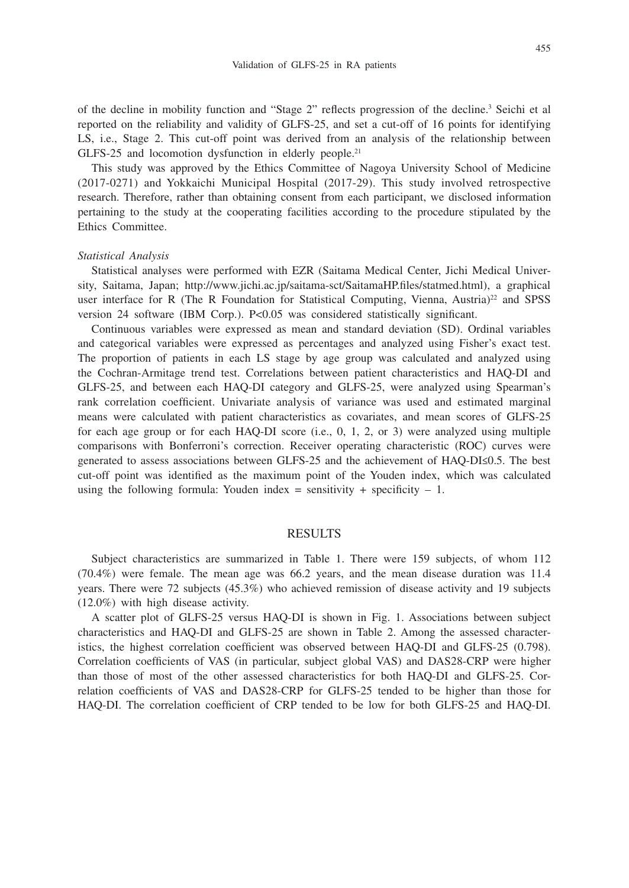of the decline in mobility function and "Stage 2" reflects progression of the decline.3 Seichi et al reported on the reliability and validity of GLFS-25, and set a cut-off of 16 points for identifying LS, i.e., Stage 2. This cut-off point was derived from an analysis of the relationship between GLFS-25 and locomotion dysfunction in elderly people.<sup>21</sup>

This study was approved by the Ethics Committee of Nagoya University School of Medicine (2017-0271) and Yokkaichi Municipal Hospital (2017-29). This study involved retrospective research. Therefore, rather than obtaining consent from each participant, we disclosed information pertaining to the study at the cooperating facilities according to the procedure stipulated by the Ethics Committee.

## *Statistical Analysis*

Statistical analyses were performed with EZR (Saitama Medical Center, Jichi Medical University, Saitama, Japan; http://www.jichi.ac.jp/saitama-sct/SaitamaHP.files/statmed.html), a graphical user interface for R (The R Foundation for Statistical Computing, Vienna, Austria)<sup>22</sup> and SPSS version 24 software (IBM Corp.). P<0.05 was considered statistically significant.

Continuous variables were expressed as mean and standard deviation (SD). Ordinal variables and categorical variables were expressed as percentages and analyzed using Fisher's exact test. The proportion of patients in each LS stage by age group was calculated and analyzed using the Cochran-Armitage trend test. Correlations between patient characteristics and HAQ-DI and GLFS-25, and between each HAQ-DI category and GLFS-25, were analyzed using Spearman's rank correlation coefficient. Univariate analysis of variance was used and estimated marginal means were calculated with patient characteristics as covariates, and mean scores of GLFS-25 for each age group or for each HAQ-DI score (i.e., 0, 1, 2, or 3) were analyzed using multiple comparisons with Bonferroni's correction. Receiver operating characteristic (ROC) curves were generated to assess associations between GLFS-25 and the achievement of HAQ-DI≤0.5. The best cut-off point was identified as the maximum point of the Youden index, which was calculated using the following formula: Youden index = sensitivity + specificity  $-1$ .

### RESULTS

Subject characteristics are summarized in Table 1. There were 159 subjects, of whom 112 (70.4%) were female. The mean age was 66.2 years, and the mean disease duration was 11.4 years. There were 72 subjects (45.3%) who achieved remission of disease activity and 19 subjects (12.0%) with high disease activity.

A scatter plot of GLFS-25 versus HAQ-DI is shown in Fig. 1. Associations between subject characteristics and HAQ-DI and GLFS-25 are shown in Table 2. Among the assessed characteristics, the highest correlation coefficient was observed between HAQ-DI and GLFS-25 (0.798). Correlation coefficients of VAS (in particular, subject global VAS) and DAS28-CRP were higher than those of most of the other assessed characteristics for both HAQ-DI and GLFS-25. Correlation coefficients of VAS and DAS28-CRP for GLFS-25 tended to be higher than those for HAQ-DI. The correlation coefficient of CRP tended to be low for both GLFS-25 and HAQ-DI.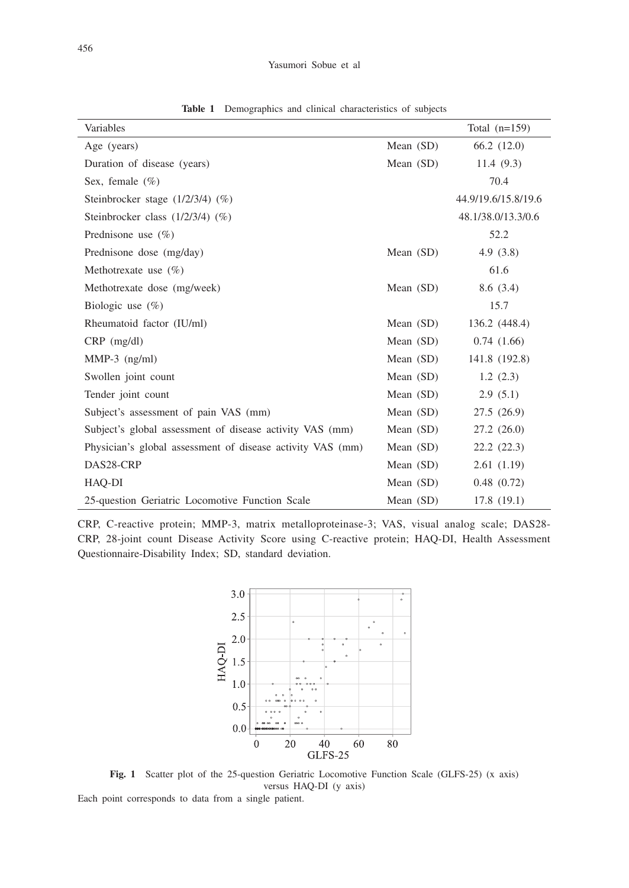| Variables                                                  |             | Total $(n=159)$     |
|------------------------------------------------------------|-------------|---------------------|
| Age (years)                                                | Mean $(SD)$ | 66.2 (12.0)         |
| Duration of disease (years)                                | Mean $(SD)$ | 11.4 $(9.3)$        |
| Sex, female $(\%)$                                         |             | 70.4                |
| Steinbrocker stage $(1/2/3/4)$ $(\%)$                      |             | 44.9/19.6/15.8/19.6 |
| Steinbrocker class (1/2/3/4) (%)                           |             | 48.1/38.0/13.3/0.6  |
| Prednisone use $(\% )$                                     |             | 52.2                |
| Prednisone dose (mg/day)                                   | Mean $(SD)$ | 4.9(3.8)            |
| Methotrexate use $(\%)$                                    |             | 61.6                |
| Methotrexate dose (mg/week)                                | Mean $(SD)$ | 8.6(3.4)            |
| Biologic use $(\%)$                                        |             | 15.7                |
| Rheumatoid factor (IU/ml)                                  | Mean $(SD)$ | 136.2 (448.4)       |
| $CRP$ (mg/dl)                                              | Mean $(SD)$ | 0.74(1.66)          |
| $MMP-3$ (ng/ml)                                            | Mean $(SD)$ | 141.8 (192.8)       |
| Swollen joint count                                        | Mean $(SD)$ | 1.2(2.3)            |
| Tender joint count                                         | Mean $(SD)$ | 2.9(5.1)            |
| Subject's assessment of pain VAS (mm)                      | Mean $(SD)$ | 27.5 (26.9)         |
| Subject's global assessment of disease activity VAS (mm)   | Mean $(SD)$ | 27.2(26.0)          |
| Physician's global assessment of disease activity VAS (mm) | Mean $(SD)$ | 22.2(22.3)          |
| DAS28-CRP                                                  | Mean $(SD)$ | 2.61(1.19)          |
| HAO-DI                                                     | Mean $(SD)$ | 0.48(0.72)          |
| 25-question Geriatric Locomotive Function Scale            | Mean $(SD)$ | 17.8(19.1)          |

**Table 1** Demographics and clinical characteristics of subjects

CRP, C-reactive protein; MMP-3, matrix metalloproteinase-3; VAS, visual analog scale; DAS28- CRP, 28-joint count Disease Activity Score using C-reactive protein; HAQ-DI, Health Assessment Questionnaire-Disability Index; SD, standard deviation.



Fig. 1 Scatter plot of the 25-question Geriatric Locomotive Function Scale (GLFS-25) (x axis) versus HAQ-DI (y axis) Each point corresponds to data from a single patient.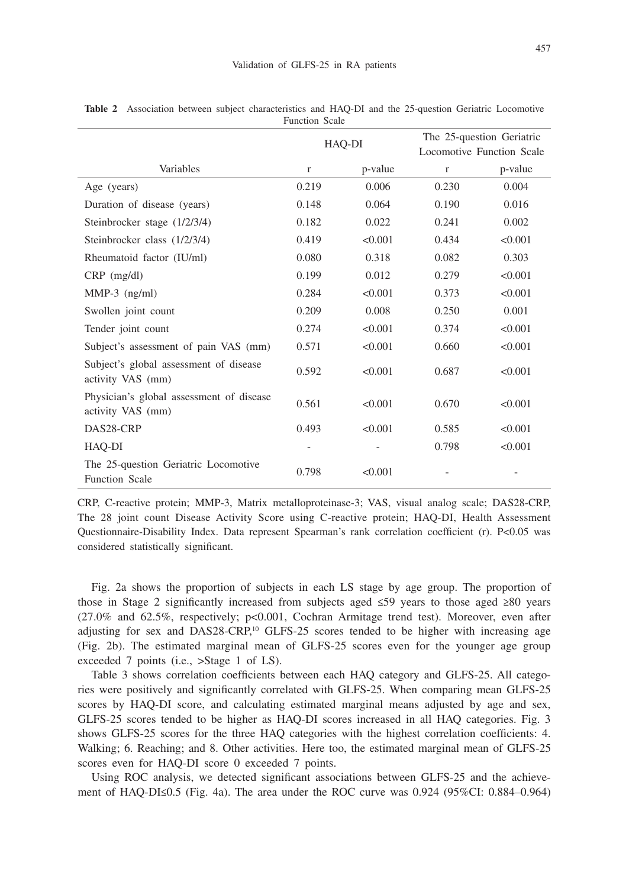|                                                               | HAQ-DI      |         | The 25-question Geriatric<br>Locomotive Function Scale |         |
|---------------------------------------------------------------|-------------|---------|--------------------------------------------------------|---------|
| Variables                                                     | $\mathbf r$ | p-value | $\mathbf{r}$                                           | p-value |
| Age (years)                                                   | 0.219       | 0.006   | 0.230                                                  | 0.004   |
| Duration of disease (years)                                   | 0.148       | 0.064   | 0.190                                                  | 0.016   |
| Steinbrocker stage (1/2/3/4)                                  | 0.182       | 0.022   | 0.241                                                  | 0.002   |
| Steinbrocker class (1/2/3/4)                                  | 0.419       | < 0.001 | 0.434                                                  | < 0.001 |
| Rheumatoid factor (IU/ml)                                     | 0.080       | 0.318   | 0.082                                                  | 0.303   |
| $CRP$ (mg/dl)                                                 | 0.199       | 0.012   | 0.279                                                  | < 0.001 |
| $MMP-3$ (ng/ml)                                               | 0.284       | < 0.001 | 0.373                                                  | < 0.001 |
| Swollen joint count                                           | 0.209       | 0.008   | 0.250                                                  | 0.001   |
| Tender joint count                                            | 0.274       | < 0.001 | 0.374                                                  | < 0.001 |
| Subject's assessment of pain VAS (mm)                         | 0.571       | < 0.001 | 0.660                                                  | < 0.001 |
| Subject's global assessment of disease<br>activity VAS (mm)   | 0.592       | < 0.001 | 0.687                                                  | < 0.001 |
| Physician's global assessment of disease<br>activity VAS (mm) | 0.561       | < 0.001 | 0.670                                                  | < 0.001 |
| DAS28-CRP                                                     | 0.493       | < 0.001 | 0.585                                                  | < 0.001 |
| HAQ-DI                                                        |             |         | 0.798                                                  | < 0.001 |
| The 25-question Geriatric Locomotive<br><b>Function Scale</b> | 0.798       | < 0.001 |                                                        |         |

**Table 2** Association between subject characteristics and HAQ-DI and the 25-question Geriatric Locomotive Function Scale

CRP, C-reactive protein; MMP-3, Matrix metalloproteinase-3; VAS, visual analog scale; DAS28-CRP, The 28 joint count Disease Activity Score using C-reactive protein; HAQ-DI, Health Assessment Questionnaire-Disability Index. Data represent Spearman's rank correlation coefficient (r). P<0.05 was considered statistically significant.

Fig. 2a shows the proportion of subjects in each LS stage by age group. The proportion of those in Stage 2 significantly increased from subjects aged ≤59 years to those aged ≥80 years (27.0% and 62.5%, respectively; p<0.001, Cochran Armitage trend test). Moreover, even after adjusting for sex and DAS28-CRP,<sup>10</sup> GLFS-25 scores tended to be higher with increasing age (Fig. 2b). The estimated marginal mean of GLFS-25 scores even for the younger age group exceeded 7 points (i.e., >Stage 1 of LS).

Table 3 shows correlation coefficients between each HAQ category and GLFS-25. All categories were positively and significantly correlated with GLFS-25. When comparing mean GLFS-25 scores by HAQ-DI score, and calculating estimated marginal means adjusted by age and sex, GLFS-25 scores tended to be higher as HAQ-DI scores increased in all HAQ categories. Fig. 3 shows GLFS-25 scores for the three HAQ categories with the highest correlation coefficients: 4. Walking; 6. Reaching; and 8. Other activities. Here too, the estimated marginal mean of GLFS-25 scores even for HAQ-DI score 0 exceeded 7 points.

Using ROC analysis, we detected significant associations between GLFS-25 and the achievement of HAQ-DI≤0.5 (Fig. 4a). The area under the ROC curve was 0.924 (95%CI: 0.884–0.964)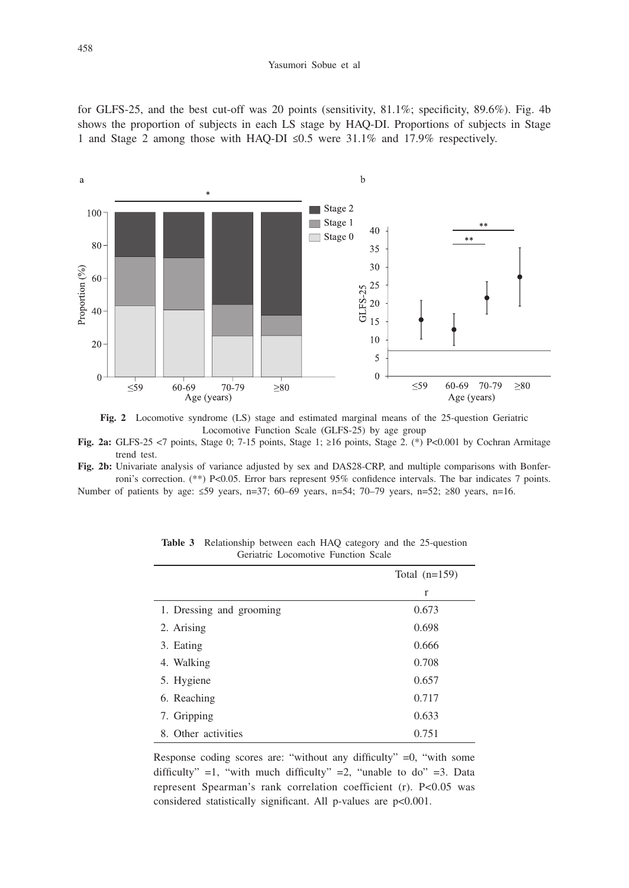#### Yasumori Sobue et al

for GLFS-25, and the best cut-off was 20 points (sensitivity, 81.1%; specificity, 89.6%). Fig. 4b shows the proportion of subjects in each LS stage by HAQ-DI. Proportions of subjects in Stage 1 and Stage 2 among those with HAQ-DI ≤0.5 were 31.1% and 17.9% respectively.





**Fig. 2a:** GLFS-25 <7 points, Stage 0; 7-15 points, Stage 1; ≥16 points, Stage 2. (\*) P<0.001 by Cochran Armitage trend test.

**Fig. 2b:** Univariate analysis of variance adjusted by sex and DAS28-CRP, and multiple comparisons with Bonferroni's correction. (\*\*) P<0.05. Error bars represent 95% confidence intervals. The bar indicates 7 points. Number of patients by age: ≤59 years, n=37; 60–69 years, n=54; 70–79 years, n=52; ≥80 years, n=16.

|                          | Total $(n=159)$ |  |
|--------------------------|-----------------|--|
|                          | $\mathbf{r}$    |  |
| 1. Dressing and grooming | 0.673           |  |
| 2. Arising               | 0.698           |  |
| 3. Eating                | 0.666           |  |
| 4. Walking               | 0.708           |  |
| 5. Hygiene               | 0.657           |  |
| 6. Reaching              | 0.717           |  |
| 7. Gripping              | 0.633           |  |
| 8. Other activities      | 0.751           |  |

**Table 3** Relationship between each HAQ category and the 25-question Geriatric Locomotive Function Scale

Response coding scores are: "without any difficulty" =0, "with some difficulty" =1, "with much difficulty" =2, "unable to do" =3. Data represent Spearman's rank correlation coefficient (r). P<0.05 was considered statistically significant. All p-values are p<0.001.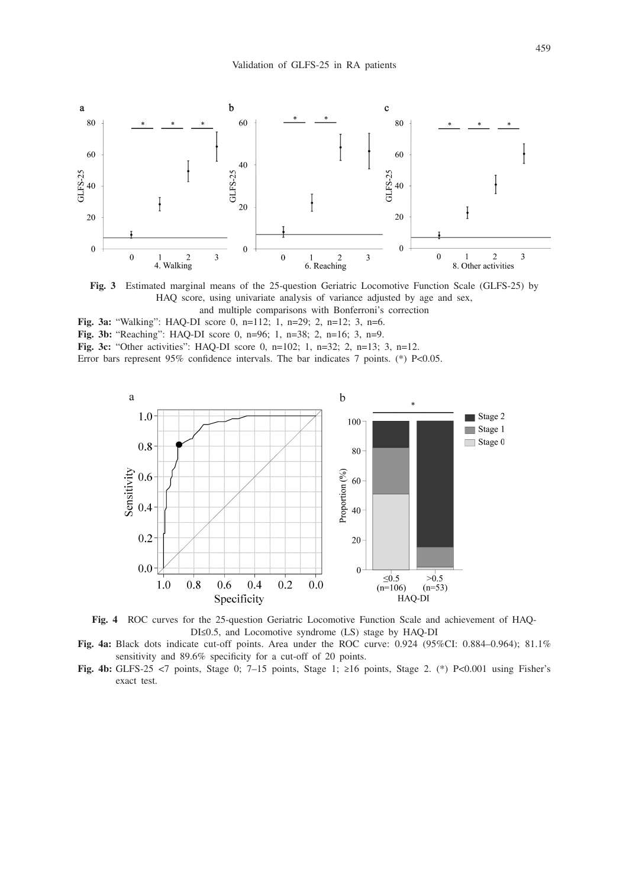

**Fig. 3** Estimated marginal means of the 25-question Geriatric Locomotive Function Scale (GLFS-25) by HAQ score, using univariate analysis of variance adjusted by age and sex,

and multiple comparisons with Bonferroni's correction

- **Fig. 3a:** "Walking": HAQ-DI score 0, n=112; 1, n=29; 2, n=12; 3, n=6.
- **Fig. 3b:** "Reaching": HAQ-DI score 0, n=96; 1, n=38; 2, n=16; 3, n=9.

**Fig. 3c:** "Other activities": HAQ-DI score 0, n=102; 1, n=32; 2, n=13; 3, n=12.

Error bars represent 95% confidence intervals. The bar indicates 7 points. (\*) P<0.05.



**Fig. 4** ROC curves for the 25-question Geriatric Locomotive Function Scale and achievement of HAQ-DI≤0.5, and Locomotive syndrome (LS) stage by HAQ-DI

**Fig. 4a:** Black dots indicate cut-off points. Area under the ROC curve: 0.924 (95%CI: 0.884–0.964); 81.1% sensitivity and 89.6% specificity for a cut-off of 20 points.

**Fig. 4b:** GLFS-25 <7 points, Stage 0; 7–15 points, Stage 1; ≥16 points, Stage 2. (\*) P<0.001 using Fisher's exact test.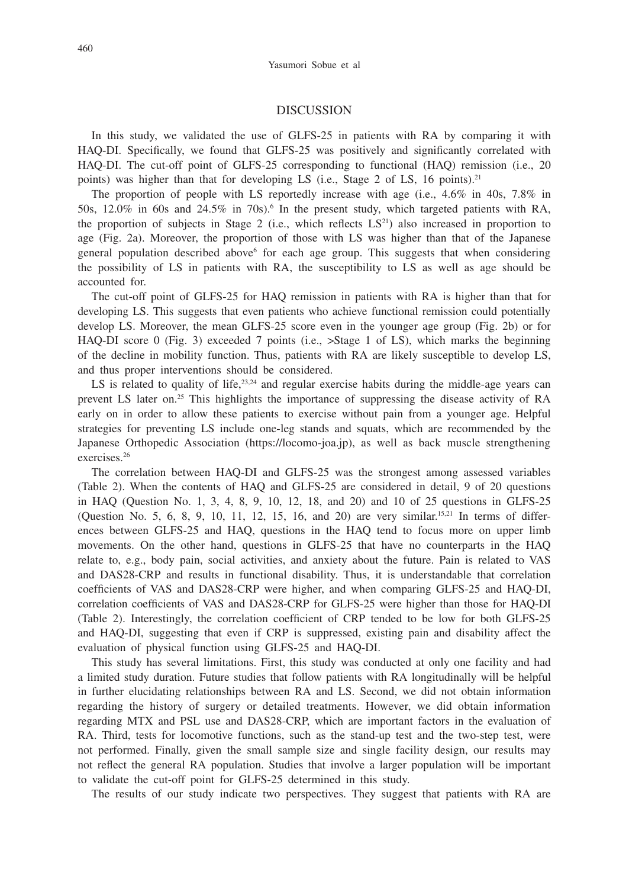### DISCUSSION

In this study, we validated the use of GLFS-25 in patients with RA by comparing it with HAQ-DI. Specifically, we found that GLFS-25 was positively and significantly correlated with HAQ-DI. The cut-off point of GLFS-25 corresponding to functional (HAQ) remission (i.e., 20 points) was higher than that for developing LS (i.e., Stage 2 of LS, 16 points).<sup>21</sup>

The proportion of people with LS reportedly increase with age (i.e., 4.6% in 40s, 7.8% in 50s,  $12.0\%$  in 60s and  $24.5\%$  in 70s).<sup>6</sup> In the present study, which targeted patients with RA, the proportion of subjects in Stage 2 (i.e., which reflects  $LS<sup>21</sup>$ ) also increased in proportion to age (Fig. 2a). Moreover, the proportion of those with LS was higher than that of the Japanese general population described above<sup>6</sup> for each age group. This suggests that when considering the possibility of LS in patients with RA, the susceptibility to LS as well as age should be accounted for.

The cut-off point of GLFS-25 for HAQ remission in patients with RA is higher than that for developing LS. This suggests that even patients who achieve functional remission could potentially develop LS. Moreover, the mean GLFS-25 score even in the younger age group (Fig. 2b) or for HAQ-DI score 0 (Fig. 3) exceeded 7 points (i.e., >Stage 1 of LS), which marks the beginning of the decline in mobility function. Thus, patients with RA are likely susceptible to develop LS, and thus proper interventions should be considered.

LS is related to quality of life,  $23,24$  and regular exercise habits during the middle-age years can prevent LS later on.25 This highlights the importance of suppressing the disease activity of RA early on in order to allow these patients to exercise without pain from a younger age. Helpful strategies for preventing LS include one-leg stands and squats, which are recommended by the Japanese Orthopedic Association (https://locomo-joa.jp), as well as back muscle strengthening exercises.26

The correlation between HAQ-DI and GLFS-25 was the strongest among assessed variables (Table 2). When the contents of HAQ and GLFS-25 are considered in detail, 9 of 20 questions in HAQ (Question No. 1, 3, 4, 8, 9, 10, 12, 18, and 20) and 10 of 25 questions in GLFS-25 (Question No. 5, 6, 8, 9, 10, 11, 12, 15, 16, and 20) are very similar.<sup>15,21</sup> In terms of differences between GLFS-25 and HAQ, questions in the HAQ tend to focus more on upper limb movements. On the other hand, questions in GLFS-25 that have no counterparts in the HAQ relate to, e.g., body pain, social activities, and anxiety about the future. Pain is related to VAS and DAS28-CRP and results in functional disability. Thus, it is understandable that correlation coefficients of VAS and DAS28-CRP were higher, and when comparing GLFS-25 and HAQ-DI, correlation coefficients of VAS and DAS28-CRP for GLFS-25 were higher than those for HAQ-DI (Table 2). Interestingly, the correlation coefficient of CRP tended to be low for both GLFS-25 and HAQ-DI, suggesting that even if CRP is suppressed, existing pain and disability affect the evaluation of physical function using GLFS-25 and HAQ-DI.

This study has several limitations. First, this study was conducted at only one facility and had a limited study duration. Future studies that follow patients with RA longitudinally will be helpful in further elucidating relationships between RA and LS. Second, we did not obtain information regarding the history of surgery or detailed treatments. However, we did obtain information regarding MTX and PSL use and DAS28-CRP, which are important factors in the evaluation of RA. Third, tests for locomotive functions, such as the stand-up test and the two-step test, were not performed. Finally, given the small sample size and single facility design, our results may not reflect the general RA population. Studies that involve a larger population will be important to validate the cut-off point for GLFS-25 determined in this study.

The results of our study indicate two perspectives. They suggest that patients with RA are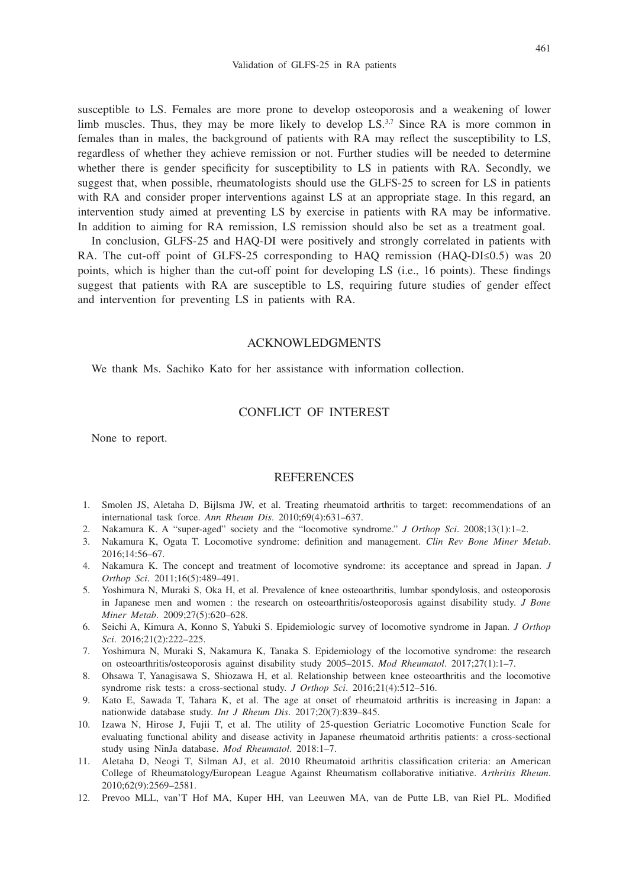susceptible to LS. Females are more prone to develop osteoporosis and a weakening of lower limb muscles. Thus, they may be more likely to develop LS.<sup>3,7</sup> Since RA is more common in females than in males, the background of patients with RA may reflect the susceptibility to LS, regardless of whether they achieve remission or not. Further studies will be needed to determine whether there is gender specificity for susceptibility to LS in patients with RA. Secondly, we suggest that, when possible, rheumatologists should use the GLFS-25 to screen for LS in patients with RA and consider proper interventions against LS at an appropriate stage. In this regard, an intervention study aimed at preventing LS by exercise in patients with RA may be informative. In addition to aiming for RA remission, LS remission should also be set as a treatment goal.

In conclusion, GLFS-25 and HAQ-DI were positively and strongly correlated in patients with RA. The cut-off point of GLFS-25 corresponding to HAQ remission (HAQ-DI $\leq 0.5$ ) was 20 points, which is higher than the cut-off point for developing LS (i.e., 16 points). These findings suggest that patients with RA are susceptible to LS, requiring future studies of gender effect and intervention for preventing LS in patients with RA.

### ACKNOWLEDGMENTS

We thank Ms. Sachiko Kato for her assistance with information collection.

## CONFLICT OF INTEREST

None to report.

## **REFERENCES**

- 1. Smolen JS, Aletaha D, Bijlsma JW, et al. Treating rheumatoid arthritis to target: recommendations of an international task force. *Ann Rheum Dis*. 2010;69(4):631–637.
- 2. Nakamura K. A "super-aged" society and the "locomotive syndrome." *J Orthop Sci*. 2008;13(1):1–2.
- 3. Nakamura K, Ogata T. Locomotive syndrome: definition and management. *Clin Rev Bone Miner Metab*. 2016;14:56–67.
- 4. Nakamura K. The concept and treatment of locomotive syndrome: its acceptance and spread in Japan. *J Orthop Sci*. 2011;16(5):489–491.
- 5. Yoshimura N, Muraki S, Oka H, et al. Prevalence of knee osteoarthritis, lumbar spondylosis, and osteoporosis in Japanese men and women : the research on osteoarthritis/osteoporosis against disability study. *J Bone Miner Metab*. 2009;27(5):620–628.
- 6. Seichi A, Kimura A, Konno S, Yabuki S. Epidemiologic survey of locomotive syndrome in Japan. *J Orthop Sci*. 2016;21(2):222–225.
- 7. Yoshimura N, Muraki S, Nakamura K, Tanaka S. Epidemiology of the locomotive syndrome: the research on osteoarthritis/osteoporosis against disability study 2005–2015. *Mod Rheumatol*. 2017;27(1):1–7.
- 8. Ohsawa T, Yanagisawa S, Shiozawa H, et al. Relationship between knee osteoarthritis and the locomotive syndrome risk tests: a cross-sectional study. *J Orthop Sci*. 2016;21(4):512–516.
- 9. Kato E, Sawada T, Tahara K, et al. The age at onset of rheumatoid arthritis is increasing in Japan: a nationwide database study. *Int J Rheum Dis*. 2017;20(7):839–845.
- 10. Izawa N, Hirose J, Fujii T, et al. The utility of 25-question Geriatric Locomotive Function Scale for evaluating functional ability and disease activity in Japanese rheumatoid arthritis patients: a cross-sectional study using NinJa database. *Mod Rheumatol*. 2018:1–7.
- 11. Aletaha D, Neogi T, Silman AJ, et al. 2010 Rheumatoid arthritis classification criteria: an American College of Rheumatology/European League Against Rheumatism collaborative initiative. *Arthritis Rheum*. 2010;62(9):2569–2581.
- 12. Prevoo MLL, van'T Hof MA, Kuper HH, van Leeuwen MA, van de Putte LB, van Riel PL. Modified